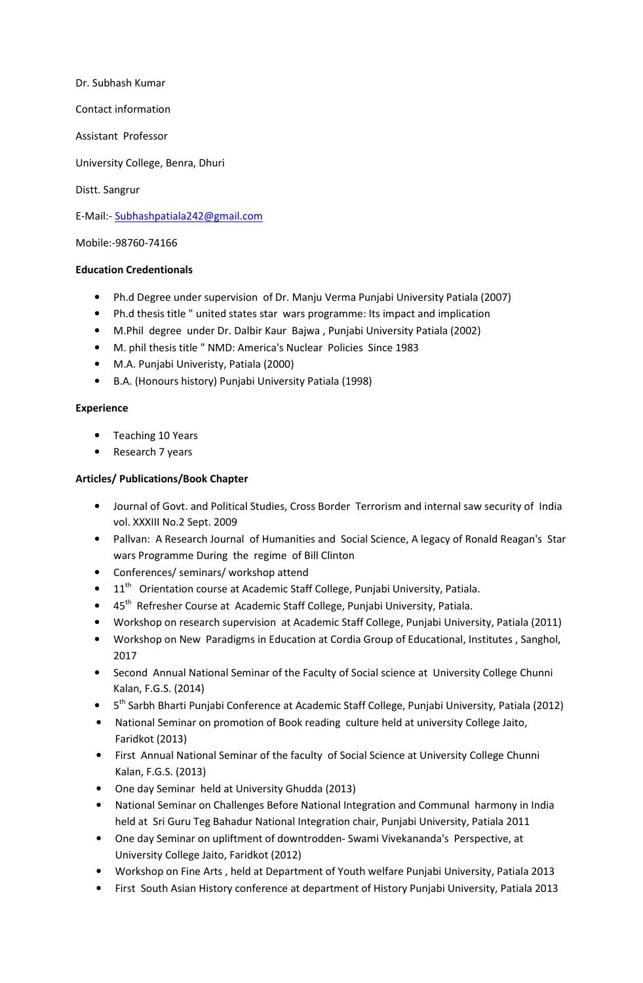Dr. Subhash Kumar Contact information Assistant Professor University College, Benra, Dhuri Distt. Sangrur

E-Mail:- Subhashpatiala242@gmail.com

Mobile:-98760-74166

## **Education Credentionals**

- Ph.d Degree under supervision of Dr. Manju Verma Punjabi University Patiala (2007)
- Ph.d thesis title " united states star wars programme: Its impact and implication
- M.Phil degree under Dr. Dalbir Kaur Bajwa , Punjabi University Patiala (2002)
- M. phil thesis title " NMD: America's Nuclear Policies Since 1983
- M.A. Punjabi Univeristy, Patiala (2000)
- B.A. (Honours history) Punjabi University Patiala (1998)

## **Experience**

- Teaching 10 Years
- Research 7 years

## **Articles/ Publications/Book Chapter**

- Journal of Govt. and Political Studies, Cross Border Terrorism and internal saw security of India vol. XXXIII No.2 Sept. 2009
- Pallvan: A Research Journal of Humanities and Social Science, A legacy of Ronald Reagan's Star wars Programme During the regime of Bill Clinton
- Conferences/ seminars/ workshop attend
- $11<sup>th</sup>$  Orientation course at Academic Staff College, Punjabi University, Patiala.
- 45<sup>th</sup> Refresher Course at Academic Staff College, Punjabi University, Patiala.
- Workshop on research supervision at Academic Staff College, Punjabi University, Patiala (2011)
- Workshop on New Paradigms in Education at Cordia Group of Educational, Institutes , Sanghol, 2017
- Second Annual National Seminar of the Faculty of Social science at University College Chunni Kalan, F.G.S. (2014)
- 5<sup>th</sup> Sarbh Bharti Punjabi Conference at Academic Staff College, Punjabi University, Patiala (2012)
- National Seminar on promotion of Book reading culture held at university College Jaito, Faridkot (2013)
- First Annual National Seminar of the faculty of Social Science at University College Chunni Kalan, F.G.S. (2013)
- One day Seminar held at University Ghudda (2013)
- National Seminar on Challenges Before National Integration and Communal harmony in India held at Sri Guru Teg Bahadur National Integration chair, Punjabi University, Patiala 2011
- One day Seminar on upliftment of downtrodden- Swami Vivekananda's Perspective, at University College Jaito, Faridkot (2012)
- Workshop on Fine Arts , held at Department of Youth welfare Punjabi University, Patiala 2013
- First South Asian History conference at department of History Punjabi University, Patiala 2013